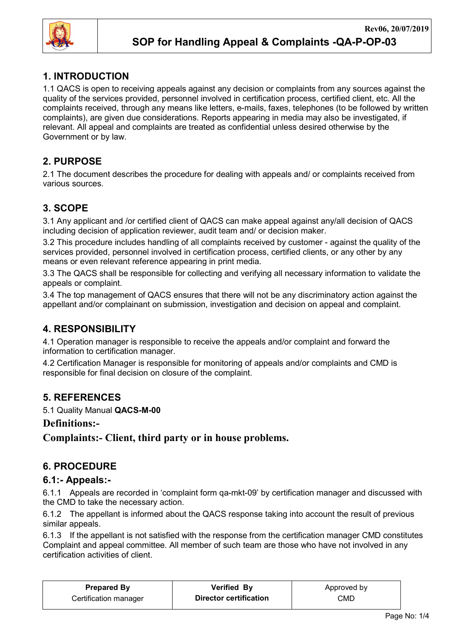

# 1. INTRODUCTION

1.1 QACS is open to receiving appeals against any decision or complaints from any sources against the quality of the services provided, personnel involved in certification process, certified client, etc. All the complaints received, through any means like letters, e-mails, faxes, telephones (to be followed by written complaints), are given due considerations. Reports appearing in media may also be investigated, if relevant. All appeal and complaints are treated as confidential unless desired otherwise by the Government or by law.

# 2. PURPOSE

2.1 The document describes the procedure for dealing with appeals and/ or complaints received from various sources.

# 3. SCOPE

3.1 Any applicant and /or certified client of QACS can make appeal against any/all decision of QACS including decision of application reviewer, audit team and/ or decision maker.

3.2 This procedure includes handling of all complaints received by customer - against the quality of the services provided, personnel involved in certification process, certified clients, or any other by any means or even relevant reference appearing in print media.

3.3 The QACS shall be responsible for collecting and verifying all necessary information to validate the appeals or complaint.

3.4 The top management of QACS ensures that there will not be any discriminatory action against the appellant and/or complainant on submission, investigation and decision on appeal and complaint.

# 4. RESPONSIBILITY

4.1 Operation manager is responsible to receive the appeals and/or complaint and forward the information to certification manager.

4.2 Certification Manager is responsible for monitoring of appeals and/or complaints and CMD is responsible for final decision on closure of the complaint.

## 5. REFERENCES

5.1 Quality Manual QACS-M-00

## Definitions:-

Complaints:- Client, third party or in house problems.

## 6. PROCEDURE

## 6.1:- Appeals:-

6.1.1 Appeals are recorded in 'complaint form qa-mkt-09' by certification manager and discussed with the CMD to take the necessary action.

6.1.2 The appellant is informed about the QACS response taking into account the result of previous similar appeals.

6.1.3 If the appellant is not satisfied with the response from the certification manager CMD constitutes Complaint and appeal committee. All member of such team are those who have not involved in any certification activities of client.

| <b>Prepared By</b>    | <b>Verified By</b>     | Approved by |  |
|-----------------------|------------------------|-------------|--|
| Certification manager | Director certification | CMD         |  |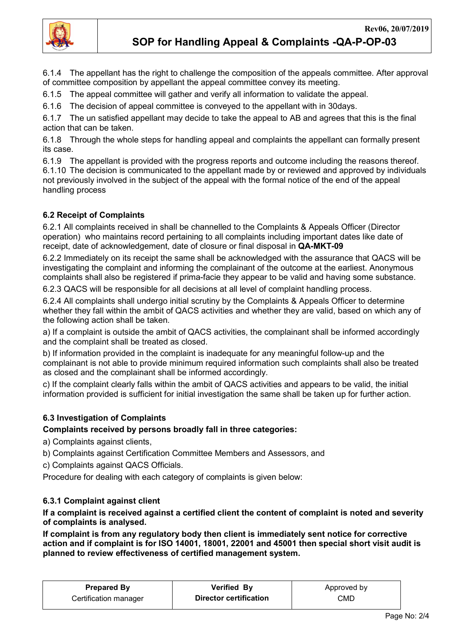

6.1.4 The appellant has the right to challenge the composition of the appeals committee. After approval of committee composition by appellant the appeal committee convey its meeting.

6.1.5 The appeal committee will gather and verify all information to validate the appeal.

6.1.6 The decision of appeal committee is conveyed to the appellant with in 30days.

6.1.7 The un satisfied appellant may decide to take the appeal to AB and agrees that this is the final action that can be taken.

6.1.8 Through the whole steps for handling appeal and complaints the appellant can formally present its case.

6.1.9 The appellant is provided with the progress reports and outcome including the reasons thereof. 6.1.10 The decision is communicated to the appellant made by or reviewed and approved by individuals not previously involved in the subject of the appeal with the formal notice of the end of the appeal handling process

### 6.2 Receipt of Complaints

6.2.1 All complaints received in shall be channelled to the Complaints & Appeals Officer (Director operation) who maintains record pertaining to all complaints including important dates like date of receipt, date of acknowledgement, date of closure or final disposal in QA-MKT-09

6.2.2 Immediately on its receipt the same shall be acknowledged with the assurance that QACS will be investigating the complaint and informing the complainant of the outcome at the earliest. Anonymous complaints shall also be registered if prima-facie they appear to be valid and having some substance.

6.2.3 QACS will be responsible for all decisions at all level of complaint handling process.

6.2.4 All complaints shall undergo initial scrutiny by the Complaints & Appeals Officer to determine whether they fall within the ambit of QACS activities and whether they are valid, based on which any of the following action shall be taken.

a) If a complaint is outside the ambit of QACS activities, the complainant shall be informed accordingly and the complaint shall be treated as closed.

b) If information provided in the complaint is inadequate for any meaningful follow-up and the complainant is not able to provide minimum required information such complaints shall also be treated as closed and the complainant shall be informed accordingly.

c) If the complaint clearly falls within the ambit of QACS activities and appears to be valid, the initial information provided is sufficient for initial investigation the same shall be taken up for further action.

### 6.3 Investigation of Complaints

#### Complaints received by persons broadly fall in three categories:

- a) Complaints against clients,
- b) Complaints against Certification Committee Members and Assessors, and
- c) Complaints against QACS Officials.

Procedure for dealing with each category of complaints is given below:

#### 6.3.1 Complaint against client

If a complaint is received against a certified client the content of complaint is noted and severity of complaints is analysed.

If complaint is from any regulatory body then client is immediately sent notice for corrective action and if complaint is for ISO 14001, 18001, 22001 and 45001 then special short visit audit is planned to review effectiveness of certified management system.

| <b>Prepared By</b>    | <b>Verified By</b>     | Approved by |  |
|-----------------------|------------------------|-------------|--|
| Certification manager | Director certification | CMD         |  |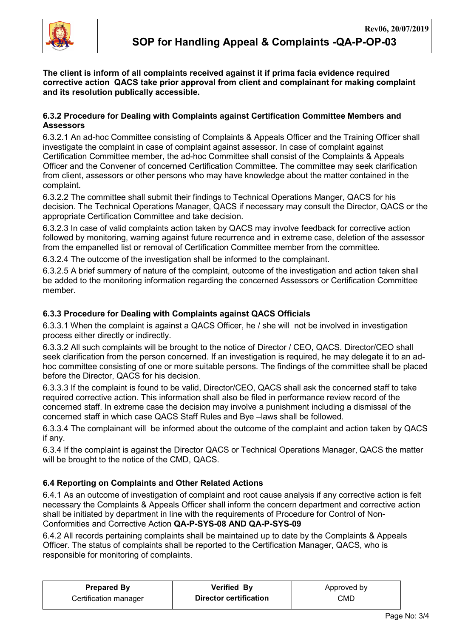

The client is inform of all complaints received against it if prima facia evidence required corrective action QACS take prior approval from client and complainant for making complaint and its resolution publically accessible.

#### 6.3.2 Procedure for Dealing with Complaints against Certification Committee Members and **Assessors**

6.3.2.1 An ad-hoc Committee consisting of Complaints & Appeals Officer and the Training Officer shall investigate the complaint in case of complaint against assessor. In case of complaint against Certification Committee member, the ad-hoc Committee shall consist of the Complaints & Appeals Officer and the Convener of concerned Certification Committee. The committee may seek clarification from client, assessors or other persons who may have knowledge about the matter contained in the complaint.

6.3.2.2 The committee shall submit their findings to Technical Operations Manger, QACS for his decision. The Technical Operations Manager, QACS if necessary may consult the Director, QACS or the appropriate Certification Committee and take decision.

6.3.2.3 In case of valid complaints action taken by QACS may involve feedback for corrective action followed by monitoring, warning against future recurrence and in extreme case, deletion of the assessor from the empanelled list or removal of Certification Committee member from the committee.

6.3.2.4 The outcome of the investigation shall be informed to the complainant.

6.3.2.5 A brief summery of nature of the complaint, outcome of the investigation and action taken shall be added to the monitoring information regarding the concerned Assessors or Certification Committee member.

#### 6.3.3 Procedure for Dealing with Complaints against QACS Officials

6.3.3.1 When the complaint is against a QACS Officer, he / she will not be involved in investigation process either directly or indirectly.

6.3.3.2 All such complaints will be brought to the notice of Director / CEO, QACS. Director/CEO shall seek clarification from the person concerned. If an investigation is required, he may delegate it to an adhoc committee consisting of one or more suitable persons. The findings of the committee shall be placed before the Director, QACS for his decision.

6.3.3.3 If the complaint is found to be valid, Director/CEO, QACS shall ask the concerned staff to take required corrective action. This information shall also be filed in performance review record of the concerned staff. In extreme case the decision may involve a punishment including a dismissal of the concerned staff in which case QACS Staff Rules and Bye –laws shall be followed.

6.3.3.4 The complainant will be informed about the outcome of the complaint and action taken by QACS if any.

6.3.4 If the complaint is against the Director QACS or Technical Operations Manager, QACS the matter will be brought to the notice of the CMD, QACS.

### 6.4 Reporting on Complaints and Other Related Actions

6.4.1 As an outcome of investigation of complaint and root cause analysis if any corrective action is felt necessary the Complaints & Appeals Officer shall inform the concern department and corrective action shall be initiated by department in line with the requirements of Procedure for Control of Non-Conformities and Corrective Action QA-P-SYS-08 AND QA-P-SYS-09

6.4.2 All records pertaining complaints shall be maintained up to date by the Complaints & Appeals Officer. The status of complaints shall be reported to the Certification Manager, QACS, who is responsible for monitoring of complaints.

| <b>Prepared By</b>    | <b>Verified By</b>     | Approved by |
|-----------------------|------------------------|-------------|
| Certification manager | Director certification | CMD         |